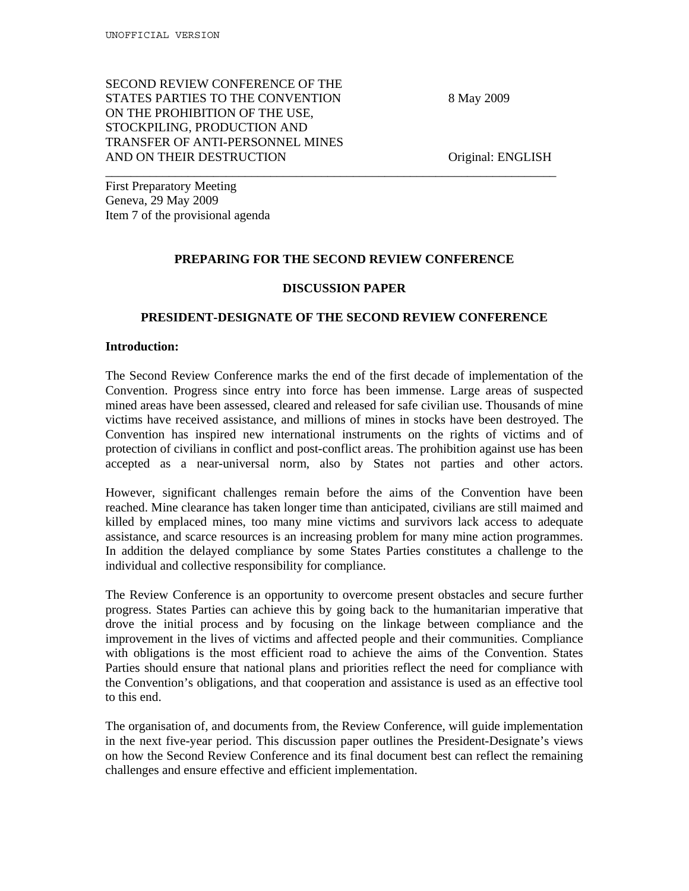SECOND REVIEW CONFERENCE OF THE STATES PARTIES TO THE CONVENTION 8 May 2009 ON THE PROHIBITION OF THE USE, STOCKPILING, PRODUCTION AND TRANSFER OF ANTI-PERSONNEL MINES AND ON THEIR DESTRUCTION **Original: ENGLISH** 

First Preparatory Meeting Geneva, 29 May 2009 Item 7 of the provisional agenda

# **PREPARING FOR THE SECOND REVIEW CONFERENCE**

\_\_\_\_\_\_\_\_\_\_\_\_\_\_\_\_\_\_\_\_\_\_\_\_\_\_\_\_\_\_\_\_\_\_\_\_\_\_\_\_\_\_\_\_\_\_\_\_\_\_\_\_\_\_\_\_\_\_\_\_\_\_\_\_\_\_\_\_\_\_\_

#### **DISCUSSION PAPER**

## **PRESIDENT-DESIGNATE OF THE SECOND REVIEW CONFERENCE**

### **Introduction:**

The Second Review Conference marks the end of the first decade of implementation of the Convention. Progress since entry into force has been immense. Large areas of suspected mined areas have been assessed, cleared and released for safe civilian use. Thousands of mine victims have received assistance, and millions of mines in stocks have been destroyed. The Convention has inspired new international instruments on the rights of victims and of protection of civilians in conflict and post-conflict areas. The prohibition against use has been accepted as a near-universal norm, also by States not parties and other actors.

However, significant challenges remain before the aims of the Convention have been reached. Mine clearance has taken longer time than anticipated, civilians are still maimed and killed by emplaced mines, too many mine victims and survivors lack access to adequate assistance, and scarce resources is an increasing problem for many mine action programmes. In addition the delayed compliance by some States Parties constitutes a challenge to the individual and collective responsibility for compliance.

The Review Conference is an opportunity to overcome present obstacles and secure further progress. States Parties can achieve this by going back to the humanitarian imperative that drove the initial process and by focusing on the linkage between compliance and the improvement in the lives of victims and affected people and their communities. Compliance with obligations is the most efficient road to achieve the aims of the Convention. States Parties should ensure that national plans and priorities reflect the need for compliance with the Convention's obligations, and that cooperation and assistance is used as an effective tool to this end.

The organisation of, and documents from, the Review Conference, will guide implementation in the next five-year period. This discussion paper outlines the President-Designate's views on how the Second Review Conference and its final document best can reflect the remaining challenges and ensure effective and efficient implementation.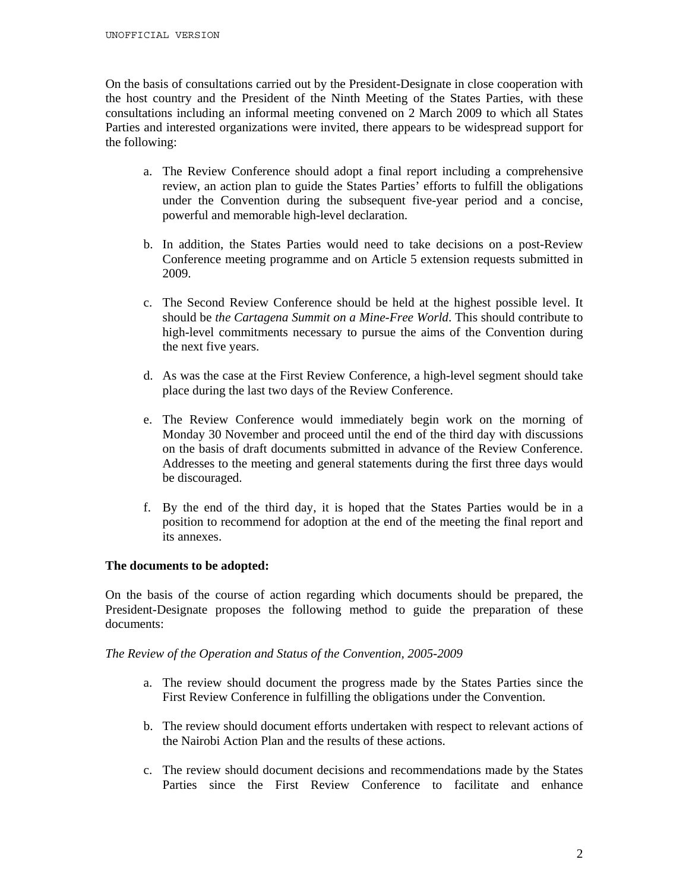On the basis of consultations carried out by the President-Designate in close cooperation with the host country and the President of the Ninth Meeting of the States Parties, with these consultations including an informal meeting convened on 2 March 2009 to which all States Parties and interested organizations were invited, there appears to be widespread support for the following:

- a. The Review Conference should adopt a final report including a comprehensive review, an action plan to guide the States Parties' efforts to fulfill the obligations under the Convention during the subsequent five-year period and a concise, powerful and memorable high-level declaration.
- b. In addition, the States Parties would need to take decisions on a post-Review Conference meeting programme and on Article 5 extension requests submitted in 2009.
- c. The Second Review Conference should be held at the highest possible level. It should be *the Cartagena Summit on a Mine-Free World*. This should contribute to high-level commitments necessary to pursue the aims of the Convention during the next five years.
- d. As was the case at the First Review Conference, a high-level segment should take place during the last two days of the Review Conference.
- e. The Review Conference would immediately begin work on the morning of Monday 30 November and proceed until the end of the third day with discussions on the basis of draft documents submitted in advance of the Review Conference. Addresses to the meeting and general statements during the first three days would be discouraged.
- f. By the end of the third day, it is hoped that the States Parties would be in a position to recommend for adoption at the end of the meeting the final report and its annexes.

# **The documents to be adopted:**

On the basis of the course of action regarding which documents should be prepared, the President-Designate proposes the following method to guide the preparation of these documents:

*The Review of the Operation and Status of the Convention, 2005-2009*

- a. The review should document the progress made by the States Parties since the First Review Conference in fulfilling the obligations under the Convention.
- b. The review should document efforts undertaken with respect to relevant actions of the Nairobi Action Plan and the results of these actions.
- c. The review should document decisions and recommendations made by the States Parties since the First Review Conference to facilitate and enhance